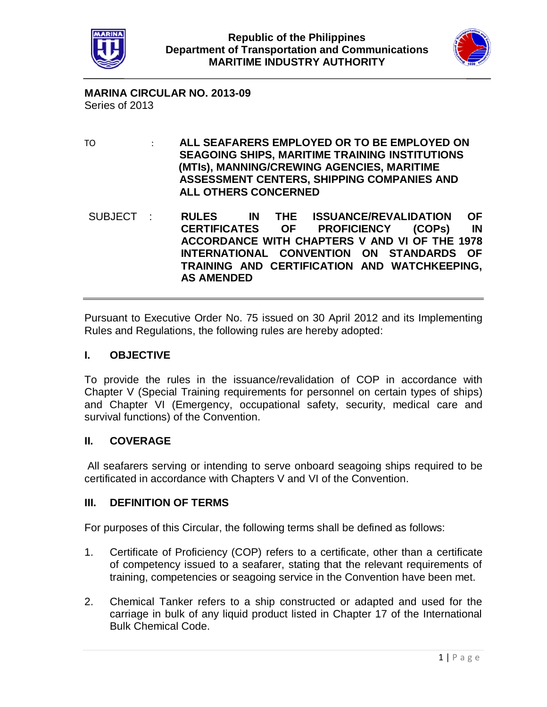



**MARINA CIRCULAR NO. 2013-09** Series of 2013

TO : **ALL SEAFARERS EMPLOYED OR TO BE EMPLOYED ON SEAGOING SHIPS, MARITIME TRAINING INSTITUTIONS (MTIs), MANNING/CREWING AGENCIES, MARITIME ASSESSMENT CENTERS, SHIPPING COMPANIES AND ALL OTHERS CONCERNED**

SUBJECT : **RULES IN THE ISSUANCE/REVALIDATION OF CERTIFICATES OF PROFICIENCY (COPs) IN ACCORDANCE WITH CHAPTERS V AND VI OF THE 1978 INTERNATIONAL CONVENTION ON STANDARDS OF TRAINING AND CERTIFICATION AND WATCHKEEPING, AS AMENDED**

Pursuant to Executive Order No. 75 issued on 30 April 2012 and its Implementing Rules and Regulations, the following rules are hereby adopted:

# **I. OBJECTIVE**

To provide the rules in the issuance/revalidation of COP in accordance with Chapter V (Special Training requirements for personnel on certain types of ships) and Chapter VI (Emergency, occupational safety, security, medical care and survival functions) of the Convention.

# **II. COVERAGE**

All seafarers serving or intending to serve onboard seagoing ships required to be certificated in accordance with Chapters V and VI of the Convention.

#### **III. DEFINITION OF TERMS**

For purposes of this Circular, the following terms shall be defined as follows:

- 1. Certificate of Proficiency (COP) refers to a certificate, other than a certificate of competency issued to a seafarer, stating that the relevant requirements of training, competencies or seagoing service in the Convention have been met.
- 2. Chemical Tanker refers to a ship constructed or adapted and used for the carriage in bulk of any liquid product listed in Chapter 17 of the International Bulk Chemical Code.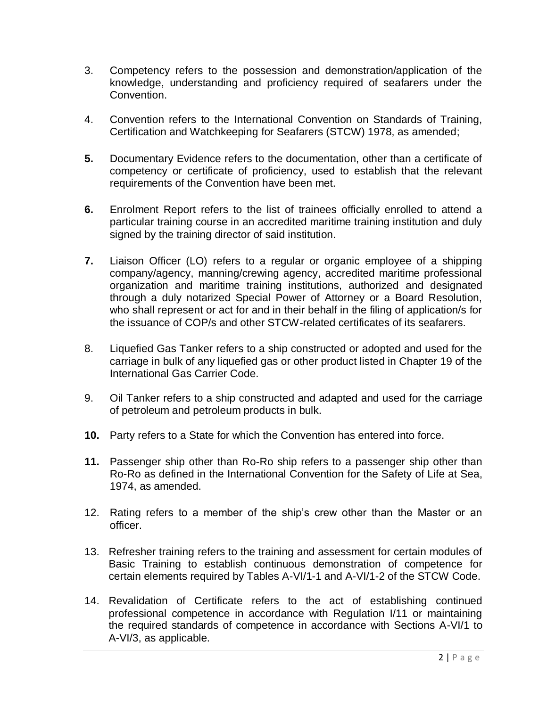- 3. Competency refers to the possession and demonstration/application of the knowledge, understanding and proficiency required of seafarers under the Convention.
- 4. Convention refers to the International Convention on Standards of Training, Certification and Watchkeeping for Seafarers (STCW) 1978, as amended;
- **5.** Documentary Evidence refers to the documentation, other than a certificate of competency or certificate of proficiency, used to establish that the relevant requirements of the Convention have been met.
- **6.** Enrolment Report refers to the list of trainees officially enrolled to attend a particular training course in an accredited maritime training institution and duly signed by the training director of said institution.
- **7.** Liaison Officer (LO) refers to a regular or organic employee of a shipping company/agency, manning/crewing agency, accredited maritime professional organization and maritime training institutions, authorized and designated through a duly notarized Special Power of Attorney or a Board Resolution, who shall represent or act for and in their behalf in the filing of application/s for the issuance of COP/s and other STCW-related certificates of its seafarers.
- 8. Liquefied Gas Tanker refers to a ship constructed or adopted and used for the carriage in bulk of any liquefied gas or other product listed in Chapter 19 of the International Gas Carrier Code.
- 9. Oil Tanker refers to a ship constructed and adapted and used for the carriage of petroleum and petroleum products in bulk.
- **10.** Party refers to a State for which the Convention has entered into force.
- **11.** Passenger ship other than Ro-Ro ship refers to a passenger ship other than Ro-Ro as defined in the International Convention for the Safety of Life at Sea, 1974, as amended.
- 12. Rating refers to a member of the ship's crew other than the Master or an officer.
- 13. Refresher training refers to the training and assessment for certain modules of Basic Training to establish continuous demonstration of competence for certain elements required by Tables A-VI/1-1 and A-VI/1-2 of the STCW Code.
- 14. Revalidation of Certificate refers to the act of establishing continued professional competence in accordance with Regulation I/11 or maintaining the required standards of competence in accordance with Sections A-VI/1 to A-VI/3, as applicable.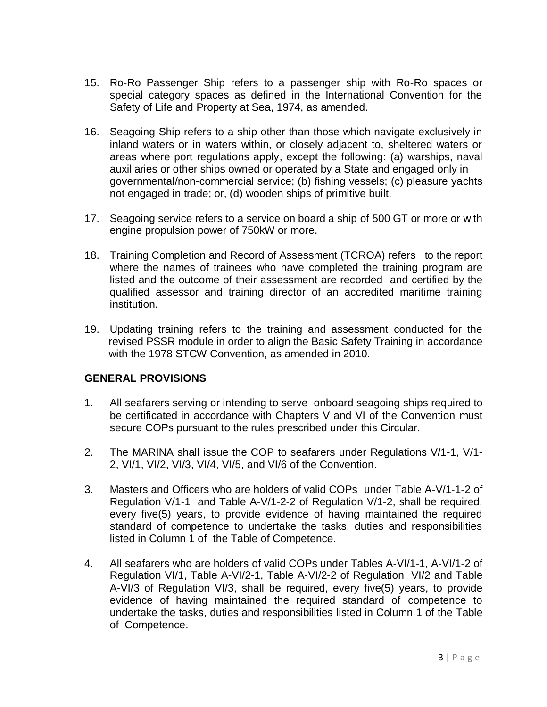- 15. Ro-Ro Passenger Ship refers to a passenger ship with Ro-Ro spaces or special category spaces as defined in the International Convention for the Safety of Life and Property at Sea, 1974, as amended.
- 16. Seagoing Ship refers to a ship other than those which navigate exclusively in inland waters or in waters within, or closely adjacent to, sheltered waters or areas where port regulations apply, except the following: (a) warships, naval auxiliaries or other ships owned or operated by a State and engaged only in governmental/non-commercial service; (b) fishing vessels; (c) pleasure yachts not engaged in trade; or, (d) wooden ships of primitive built.
- 17. Seagoing service refers to a service on board a ship of 500 GT or more or with engine propulsion power of 750kW or more.
- 18. Training Completion and Record of Assessment (TCROA) refers to the report where the names of trainees who have completed the training program are listed and the outcome of their assessment are recorded and certified by the qualified assessor and training director of an accredited maritime training institution.
- 19. Updating training refers to the training and assessment conducted for the revised PSSR module in order to align the Basic Safety Training in accordance with the 1978 STCW Convention, as amended in 2010.

# **GENERAL PROVISIONS**

- 1. All seafarers serving or intending to serve onboard seagoing ships required to be certificated in accordance with Chapters V and VI of the Convention must secure COPs pursuant to the rules prescribed under this Circular.
- 2. The MARINA shall issue the COP to seafarers under Regulations V/1-1, V/1- 2, VI/1, VI/2, VI/3, VI/4, VI/5, and VI/6 of the Convention.
- 3. Masters and Officers who are holders of valid COPs under Table A-V/1-1-2 of Regulation V/1-1 and Table A-V/1-2-2 of Regulation V/1-2, shall be required, every five(5) years, to provide evidence of having maintained the required standard of competence to undertake the tasks, duties and responsibilities listed in Column 1 of the Table of Competence.
- 4. All seafarers who are holders of valid COPs under Tables A-VI/1-1, A-VI/1-2 of Regulation VI/1, Table A-VI/2-1, Table A-VI/2-2 of Regulation VI/2 and Table A-VI/3 of Regulation VI/3, shall be required, every five(5) years, to provide evidence of having maintained the required standard of competence to undertake the tasks, duties and responsibilities listed in Column 1 of the Table of Competence.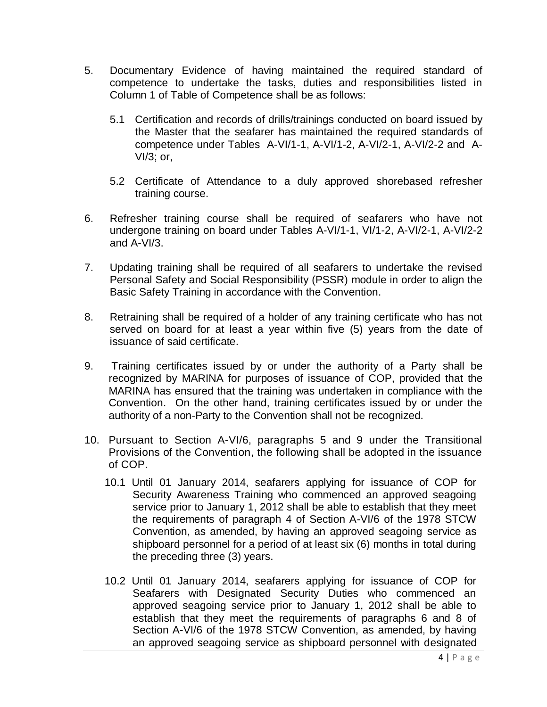- 5. Documentary Evidence of having maintained the required standard of competence to undertake the tasks, duties and responsibilities listed in Column 1 of Table of Competence shall be as follows:
	- 5.1 Certification and records of drills/trainings conducted on board issued by the Master that the seafarer has maintained the required standards of competence under Tables A-VI/1-1, A-VI/1-2, A-VI/2-1, A-VI/2-2 and A-VI/3; or,
	- 5.2 Certificate of Attendance to a duly approved shorebased refresher training course.
- 6. Refresher training course shall be required of seafarers who have not undergone training on board under Tables A-VI/1-1, VI/1-2, A-VI/2-1, A-VI/2-2 and A-VI/3.
- 7. Updating training shall be required of all seafarers to undertake the revised Personal Safety and Social Responsibility (PSSR) module in order to align the Basic Safety Training in accordance with the Convention.
- 8. Retraining shall be required of a holder of any training certificate who has not served on board for at least a year within five (5) years from the date of issuance of said certificate.
- 9. Training certificates issued by or under the authority of a Party shall be recognized by MARINA for purposes of issuance of COP, provided that the MARINA has ensured that the training was undertaken in compliance with the Convention. On the other hand, training certificates issued by or under the authority of a non-Party to the Convention shall not be recognized.
- 10. Pursuant to Section A-VI/6, paragraphs 5 and 9 under the Transitional Provisions of the Convention, the following shall be adopted in the issuance of COP.
	- 10.1 Until 01 January 2014, seafarers applying for issuance of COP for Security Awareness Training who commenced an approved seagoing service prior to January 1, 2012 shall be able to establish that they meet the requirements of paragraph 4 of Section A-VI/6 of the 1978 STCW Convention, as amended, by having an approved seagoing service as shipboard personnel for a period of at least six (6) months in total during the preceding three (3) years.
	- 10.2 Until 01 January 2014, seafarers applying for issuance of COP for Seafarers with Designated Security Duties who commenced an approved seagoing service prior to January 1, 2012 shall be able to establish that they meet the requirements of paragraphs 6 and 8 of Section A-VI/6 of the 1978 STCW Convention, as amended, by having an approved seagoing service as shipboard personnel with designated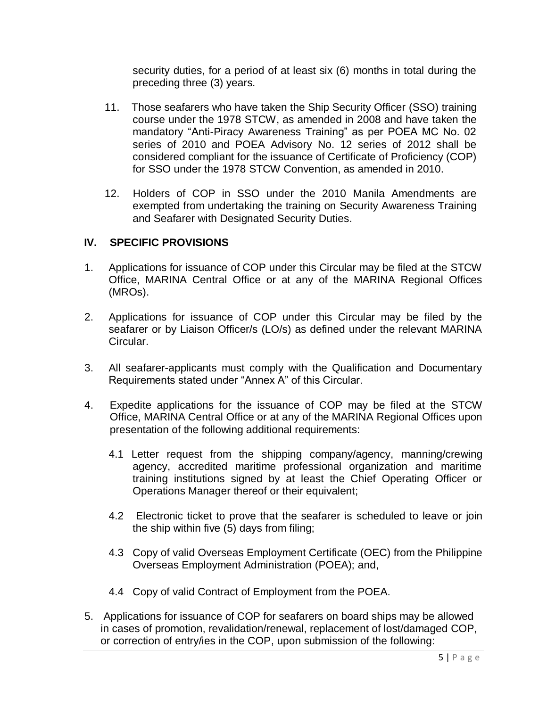security duties, for a period of at least six (6) months in total during the preceding three (3) years.

- 11. Those seafarers who have taken the Ship Security Officer (SSO) training course under the 1978 STCW, as amended in 2008 and have taken the mandatory "Anti-Piracy Awareness Training" as per POEA MC No. 02 series of 2010 and POEA Advisory No. 12 series of 2012 shall be considered compliant for the issuance of Certificate of Proficiency (COP) for SSO under the 1978 STCW Convention, as amended in 2010.
- 12. Holders of COP in SSO under the 2010 Manila Amendments are exempted from undertaking the training on Security Awareness Training and Seafarer with Designated Security Duties.

#### **IV. SPECIFIC PROVISIONS**

- 1. Applications for issuance of COP under this Circular may be filed at the STCW Office, MARINA Central Office or at any of the MARINA Regional Offices (MROs).
- 2. Applications for issuance of COP under this Circular may be filed by the seafarer or by Liaison Officer/s (LO/s) as defined under the relevant MARINA Circular.
- 3. All seafarer-applicants must comply with the Qualification and Documentary Requirements stated under "Annex A" of this Circular.
- 4. Expedite applications for the issuance of COP may be filed at the STCW Office, MARINA Central Office or at any of the MARINA Regional Offices upon presentation of the following additional requirements:
	- 4.1 Letter request from the shipping company/agency, manning/crewing agency, accredited maritime professional organization and maritime training institutions signed by at least the Chief Operating Officer or Operations Manager thereof or their equivalent;
	- 4.2 Electronic ticket to prove that the seafarer is scheduled to leave or join the ship within five  $(5)$  days from filing;
	- 4.3 Copy of valid Overseas Employment Certificate (OEC) from the Philippine Overseas Employment Administration (POEA); and,
	- 4.4 Copy of valid Contract of Employment from the POEA.
- 5. Applications for issuance of COP for seafarers on board ships may be allowed in cases of promotion, revalidation/renewal, replacement of lost/damaged COP, or correction of entry/ies in the COP, upon submission of the following: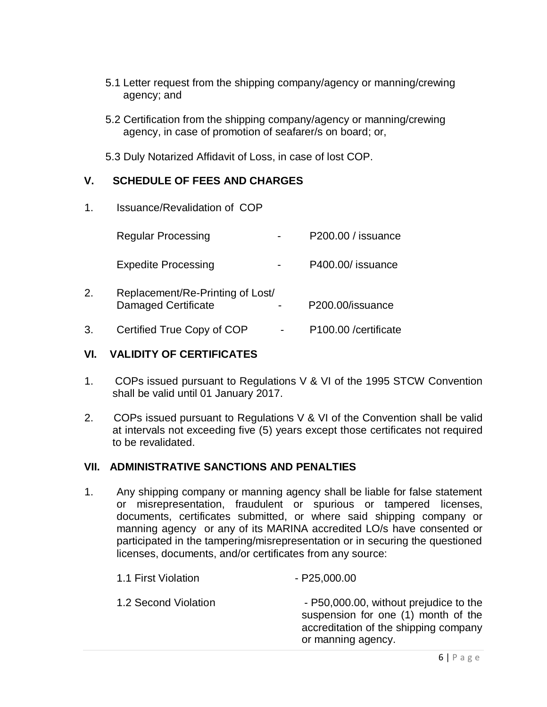- 5.1 Letter request from the shipping company/agency or manning/crewing agency; and
- 5.2 Certification from the shipping company/agency or manning/crewing agency, in case of promotion of seafarer/s on board; or,
- 5.3 Duly Notarized Affidavit of Loss, in case of lost COP.

# **V. SCHEDULE OF FEES AND CHARGES**

1. Issuance/Revalidation of COP

|    | <b>Regular Processing</b>                                      | P200.00 / issuance   |
|----|----------------------------------------------------------------|----------------------|
|    | <b>Expedite Processing</b>                                     | P400.00/ issuance    |
| 2. | Replacement/Re-Printing of Lost/<br><b>Damaged Certificate</b> | P200.00/issuance     |
| 3. | Certified True Copy of COP                                     | P100.00 /certificate |

### **VI. VALIDITY OF CERTIFICATES**

- 1. COPs issued pursuant to Regulations V & VI of the 1995 STCW Convention shall be valid until 01 January 2017.
- 2. COPs issued pursuant to Regulations V & VI of the Convention shall be valid at intervals not exceeding five (5) years except those certificates not required to be revalidated.

# **VII. ADMINISTRATIVE SANCTIONS AND PENALTIES**

1. Any shipping company or manning agency shall be liable for false statement or misrepresentation, fraudulent or spurious or tampered licenses, documents, certificates submitted, or where said shipping company or manning agency or any of its MARINA accredited LO/s have consented or participated in the tampering/misrepresentation or in securing the questioned licenses, documents, and/or certificates from any source:

| 1.1 First Violation  | $-$ P25,000.00                                                                                                                               |
|----------------------|----------------------------------------------------------------------------------------------------------------------------------------------|
| 1.2 Second Violation | - P50,000.00, without prejudice to the<br>suspension for one (1) month of the<br>accreditation of the shipping company<br>or manning agency. |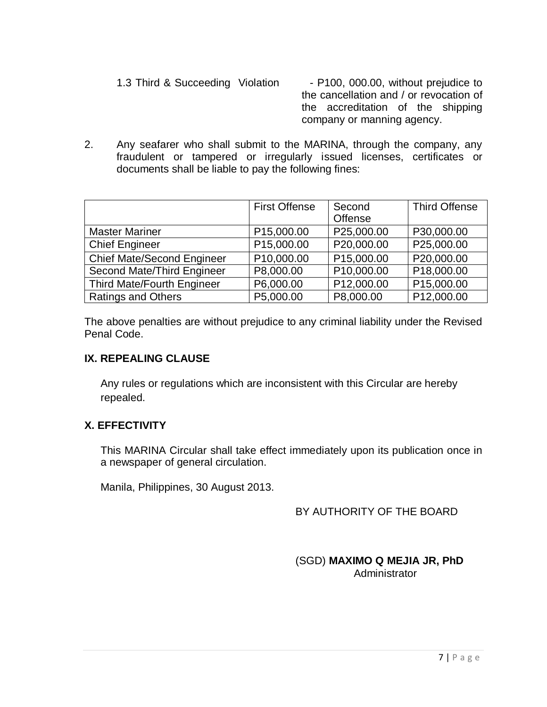1.3 Third & Succeeding Violation - P100, 000.00, without prejudice to the cancellation and / or revocation of the accreditation of the shipping company or manning agency.

2. Any seafarer who shall submit to the MARINA, through the company, any fraudulent or tampered or irregularly issued licenses, certificates or documents shall be liable to pay the following fines:

|                                   | <b>First Offense</b> | Second     | <b>Third Offense</b> |
|-----------------------------------|----------------------|------------|----------------------|
|                                   |                      | Offense    |                      |
| <b>Master Mariner</b>             | P15,000.00           | P25,000.00 | P30,000.00           |
| <b>Chief Engineer</b>             | P15,000.00           | P20,000.00 | P25,000.00           |
| <b>Chief Mate/Second Engineer</b> | P10,000.00           | P15,000.00 | P20,000.00           |
| Second Mate/Third Engineer        | P8,000.00            | P10,000.00 | P18,000.00           |
| Third Mate/Fourth Engineer        | P6,000.00            | P12,000.00 | P15,000.00           |
| <b>Ratings and Others</b>         | P5,000.00            | P8,000.00  | P12,000.00           |

The above penalties are without prejudice to any criminal liability under the Revised Penal Code.

### **IX. REPEALING CLAUSE**

Any rules or regulations which are inconsistent with this Circular are hereby repealed.

# **X. EFFECTIVITY**

This MARINA Circular shall take effect immediately upon its publication once in a newspaper of general circulation.

Manila, Philippines, 30 August 2013.

# BY AUTHORITY OF THE BOARD

 (SGD) **MAXIMO Q MEJIA JR, PhD Administrator**